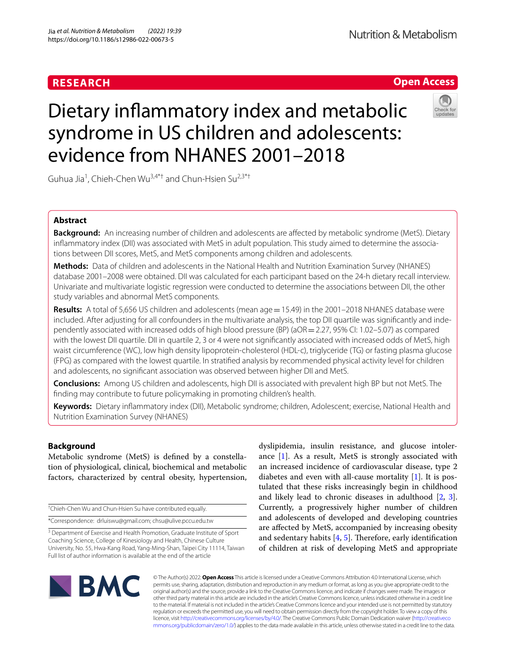# **RESEARCH**

# **Nutrition & Metabolism**

# **Open Access**

# Dietary infammatory index and metabolic syndrome in US children and adolescents: evidence from NHANES 2001–2018

Guhua Jia<sup>1</sup>, Chieh-Chen Wu<sup>3,4\*†</sup> and Chun-Hsien Su<sup>2,3\*†</sup>

# **Abstract**

**Background:** An increasing number of children and adolescents are afected by metabolic syndrome (MetS). Dietary inflammatory index (DII) was associated with MetS in adult population. This study aimed to determine the associations between DII scores, MetS, and MetS components among children and adolescents.

**Methods:** Data of children and adolescents in the National Health and Nutrition Examination Survey (NHANES) database 2001–2008 were obtained. DII was calculated for each participant based on the 24-h dietary recall interview. Univariate and multivariate logistic regression were conducted to determine the associations between DII, the other study variables and abnormal MetS components.

Results: A total of 5,656 US children and adolescents (mean age = 15.49) in the 2001–2018 NHANES database were included. After adjusting for all confounders in the multivariate analysis, the top DII quartile was significantly and independently associated with increased odds of high blood pressure (BP) (aOR=2.27, 95% CI: 1.02–5.07) as compared with the lowest DII quartile. DII in quartile 2, 3 or 4 were not signifcantly associated with increased odds of MetS, high waist circumference (WC), low high density lipoprotein-cholesterol (HDL-c), triglyceride (TG) or fasting plasma glucose (FPG) as compared with the lowest quartile. In stratifed analysis by recommended physical activity level for children and adolescents, no signifcant association was observed between higher DII and MetS.

**Conclusions:** Among US children and adolescents, high DII is associated with prevalent high BP but not MetS. The fnding may contribute to future policymaking in promoting children's health.

**Keywords:** Dietary infammatory index (DII), Metabolic syndrome; children, Adolescent; exercise, National Health and Nutrition Examination Survey (NHANES)

## **Background**

Metabolic syndrome (MetS) is defned by a constellation of physiological, clinical, biochemical and metabolic factors, characterized by central obesity, hypertension,

† Chieh-Chen Wu and Chun-Hsien Su have contributed equally. \*Correspondence: drluiswu@gmail.com; chsu@ulive.pccu.edu.tw

<sup>3</sup> Department of Exercise and Health Promotion, Graduate Institute of Sport Coaching Science, College of Kinesiology and Health, Chinese Culture University, No. 55, Hwa‑Kang Road, Yang‑Ming‑Shan, Taipei City 11114, Taiwan Full list of author information is available at the end of the article

dyslipidemia, insulin resistance, and glucose intolerance  $[1]$  $[1]$ . As a result, MetS is strongly associated with an increased incidence of cardiovascular disease, type 2 diabetes and even with all-cause mortality [\[1](#page-8-0)]. It is postulated that these risks increasingly begin in childhood and likely lead to chronic diseases in adulthood [\[2,](#page-8-1) [3](#page-8-2)]. Currently, a progressively higher number of children and adolescents of developed and developing countries are afected by MetS, accompanied by increasing obesity and sedentary habits  $[4, 5]$  $[4, 5]$  $[4, 5]$ . Therefore, early identification of children at risk of developing MetS and appropriate



© The Author(s) 2022. **Open Access** This article is licensed under a Creative Commons Attribution 4.0 International License, which permits use, sharing, adaptation, distribution and reproduction in any medium or format, as long as you give appropriate credit to the original author(s) and the source, provide a link to the Creative Commons licence, and indicate if changes were made. The images or other third party material in this article are included in the article's Creative Commons licence, unless indicated otherwise in a credit line to the material. If material is not included in the article's Creative Commons licence and your intended use is not permitted by statutory regulation or exceeds the permitted use, you will need to obtain permission directly from the copyright holder. To view a copy of this licence, visit [http://creativecommons.org/licenses/by/4.0/.](http://creativecommons.org/licenses/by/4.0/) The Creative Commons Public Domain Dedication waiver ([http://creativeco](http://creativecommons.org/publicdomain/zero/1.0/) [mmons.org/publicdomain/zero/1.0/](http://creativecommons.org/publicdomain/zero/1.0/)) applies to the data made available in this article, unless otherwise stated in a credit line to the data.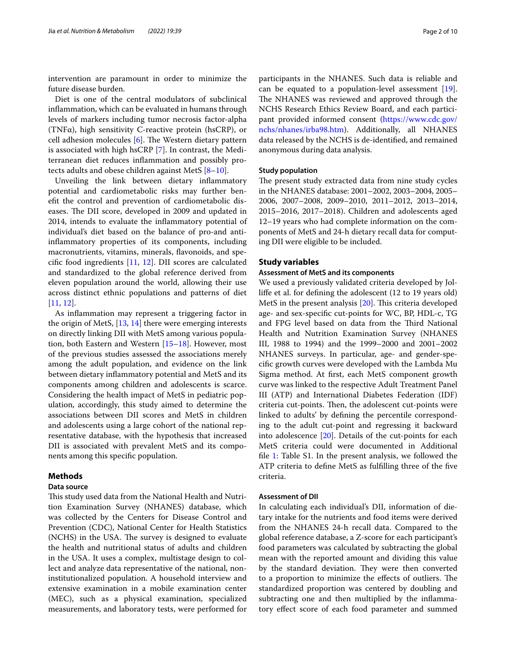intervention are paramount in order to minimize the future disease burden.

Diet is one of the central modulators of subclinical infammation, which can be evaluated in humans through levels of markers including tumor necrosis factor-alpha (TNFα), high sensitivity C-reactive protein (hsCRP), or cell adhesion molecules  $[6]$  $[6]$ . The Western dietary pattern is associated with high hsCRP [\[7](#page-8-6)]. In contrast, the Mediterranean diet reduces infammation and possibly protects adults and obese children against MetS [\[8](#page-8-7)[–10\]](#page-8-8).

Unveiling the link between dietary infammatory potential and cardiometabolic risks may further beneft the control and prevention of cardiometabolic diseases. The DII score, developed in 2009 and updated in 2014, intends to evaluate the infammatory potential of individual's diet based on the balance of pro-and antiinfammatory properties of its components, including macronutrients, vitamins, minerals, favonoids, and specifc food ingredients [\[11](#page-8-9), [12\]](#page-8-10). DII scores are calculated and standardized to the global reference derived from eleven population around the world, allowing their use across distinct ethnic populations and patterns of diet [[11,](#page-8-9) [12](#page-8-10)].

As infammation may represent a triggering factor in the origin of MetS, [\[13](#page-8-11), [14\]](#page-8-12) there were emerging interests on directly linking DII with MetS among various population, both Eastern and Western [\[15](#page-8-13)–[18\]](#page-9-0). However, most of the previous studies assessed the associations merely among the adult population, and evidence on the link between dietary infammatory potential and MetS and its components among children and adolescents is scarce. Considering the health impact of MetS in pediatric population, accordingly, this study aimed to determine the associations between DII scores and MetS in children and adolescents using a large cohort of the national representative database, with the hypothesis that increased DII is associated with prevalent MetS and its components among this specifc population.

#### **Methods**

#### **Data source**

This study used data from the National Health and Nutrition Examination Survey (NHANES) database, which was collected by the Centers for Disease Control and Prevention (CDC), National Center for Health Statistics (NCHS) in the USA. The survey is designed to evaluate the health and nutritional status of adults and children in the USA. It uses a complex, multistage design to collect and analyze data representative of the national, noninstitutionalized population. A household interview and extensive examination in a mobile examination center (MEC), such as a physical examination, specialized measurements, and laboratory tests, were performed for participants in the NHANES. Such data is reliable and can be equated to a population-level assessment [\[19](#page-9-1)]. The NHANES was reviewed and approved through the NCHS Research Ethics Review Board, and each participant provided informed consent ([https://www.cdc.gov/](https://www.cdc.gov/nchs/nhanes/irba98.htm) [nchs/nhanes/irba98.htm\)](https://www.cdc.gov/nchs/nhanes/irba98.htm). Additionally, all NHANES data released by the NCHS is de-identifed, and remained anonymous during data analysis.

#### **Study population**

The present study extracted data from nine study cycles in the NHANES database: 2001–2002, 2003–2004, 2005– 2006, 2007–2008, 2009–2010, 2011–2012, 2013–2014, 2015–2016, 2017–2018). Children and adolescents aged 12–19 years who had complete information on the components of MetS and 24-h dietary recall data for computing DII were eligible to be included.

#### **Study variables**

#### **Assessment of MetS and its components**

We used a previously validated criteria developed by Jollife et al. for defning the adolescent (12 to 19 years old) MetS in the present analysis  $[20]$  $[20]$ . This criteria developed age- and sex-specifc cut-points for WC, BP, HDL-c, TG and FPG level based on data from the Third National Health and Nutrition Examination Survey (NHANES III, 1988 to 1994) and the 1999–2000 and 2001–2002 NHANES surveys. In particular, age- and gender-specifc growth curves were developed with the Lambda Mu Sigma method. At frst, each MetS component growth curve was linked to the respective Adult Treatment Panel III (ATP) and International Diabetes Federation (IDF) criteria cut-points. Then, the adolescent cut-points were linked to adults' by defning the percentile corresponding to the adult cut-point and regressing it backward into adolescence [\[20\]](#page-9-2). Details of the cut-points for each MetS criteria could were documented in Additional fle [1](#page-8-14): Table S1. In the present analysis, we followed the ATP criteria to defne MetS as fulflling three of the fve criteria.

#### **Assessment of DII**

In calculating each individual's DII, information of dietary intake for the nutrients and food items were derived from the NHANES 24-h recall data. Compared to the global reference database, a Z-score for each participant's food parameters was calculated by subtracting the global mean with the reported amount and dividing this value by the standard deviation. They were then converted to a proportion to minimize the effects of outliers. The standardized proportion was centered by doubling and subtracting one and then multiplied by the infammatory efect score of each food parameter and summed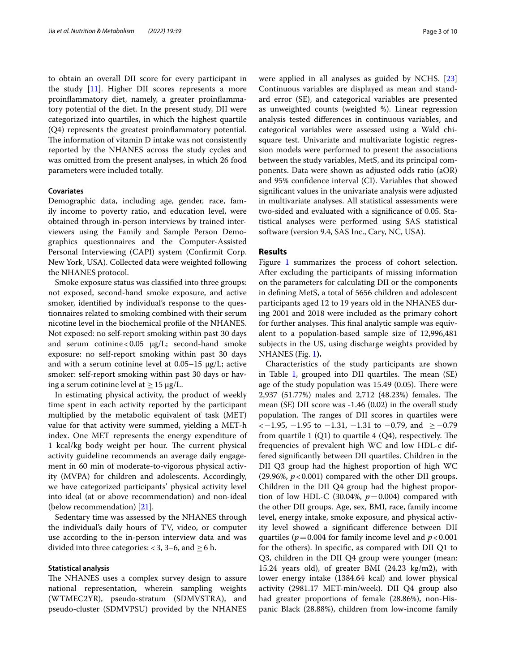to obtain an overall DII score for every participant in the study [\[11\]](#page-8-9). Higher DII scores represents a more proinfammatory diet, namely, a greater proinfammatory potential of the diet. In the present study, DII were categorized into quartiles, in which the highest quartile (Q4) represents the greatest proinfammatory potential. The information of vitamin D intake was not consistently reported by the NHANES across the study cycles and was omitted from the present analyses, in which 26 food parameters were included totally.

#### **Covariates**

Demographic data, including age, gender, race, family income to poverty ratio, and education level, were obtained through in-person interviews by trained interviewers using the Family and Sample Person Demographics questionnaires and the Computer-Assisted Personal Interviewing (CAPI) system (Confrmit Corp. New York, USA). Collected data were weighted following the NHANES protocol.

Smoke exposure status was classifed into three groups: not exposed, second-hand smoke exposure, and active smoker, identifed by individual's response to the questionnaires related to smoking combined with their serum nicotine level in the biochemical profle of the NHANES. Not exposed: no self-report smoking within past 30 days and serum cotinine <  $0.05 \mu g/L$ ; second-hand smoke exposure: no self-report smoking within past 30 days and with a serum cotinine level at  $0.05-15 \mu g/L$ ; active smoker: self-report smoking within past 30 days or having a serum cotinine level at  $\geq$  15 μg/L.

In estimating physical activity, the product of weekly time spent in each activity reported by the participant multiplied by the metabolic equivalent of task (MET) value for that activity were summed, yielding a MET-h index. One MET represents the energy expenditure of 1 kcal/kg body weight per hour. The current physical activity guideline recommends an average daily engagement in 60 min of moderate-to-vigorous physical activity (MVPA) for children and adolescents. Accordingly, we have categorized participants' physical activity level into ideal (at or above recommendation) and non-ideal (below recommendation) [[21\]](#page-9-3).

Sedentary time was assessed by the NHANES through the individual's daily hours of TV, video, or computer use according to the in-person interview data and was divided into three categories: <3, 3–6, and  $\geq$  6 h.

#### **Statistical analysis**

The NHANES uses a complex survey design to assure national representation, wherein sampling weights (WTMEC2YR), pseudo-stratum (SDMVSTRA), and pseudo-cluster (SDMVPSU) provided by the NHANES were applied in all analyses as guided by NCHS. [[23](#page-9-4)] Continuous variables are displayed as mean and standard error (SE), and categorical variables are presented as unweighted counts (weighted %). Linear regression analysis tested diferences in continuous variables, and categorical variables were assessed using a Wald chisquare test. Univariate and multivariate logistic regression models were performed to present the associations between the study variables, MetS, and its principal components. Data were shown as adjusted odds ratio (aOR) and 95% confdence interval (CI). Variables that showed signifcant values in the univariate analysis were adjusted in multivariate analyses. All statistical assessments were two-sided and evaluated with a signifcance of 0.05. Statistical analyses were performed using SAS statistical software (version 9.4, SAS Inc., Cary, NC, USA).

#### **Results**

Figure [1](#page-3-0) summarizes the process of cohort selection. After excluding the participants of missing information on the parameters for calculating DII or the components in defning MetS, a total of 5656 children and adolescent participants aged 12 to 19 years old in the NHANES during 2001 and 2018 were included as the primary cohort for further analyses. This final analytic sample was equivalent to a population-based sample size of 12,996,481 subjects in the US, using discharge weights provided by NHANES (Fig. [1](#page-3-0)**).**

Characteristics of the study participants are shown in Table [1,](#page-4-0) grouped into DII quartiles. The mean (SE) age of the study population was  $15.49$  (0.05). There were 2,937 (51.77%) males and 2,712 (48.23%) females. The mean (SE) DII score was -1.46 (0.02) in the overall study population. The ranges of DII scores in quartiles were  $<-1.95$ ,  $-1.95$  to  $-1.31$ ,  $-1.31$  to  $-0.79$ , and  $≥-0.79$ from quartile 1  $(Q1)$  to quartile 4  $(Q4)$ , respectively. The frequencies of prevalent high WC and low HDL-c differed signifcantly between DII quartiles. Children in the DII Q3 group had the highest proportion of high WC (29.96%,  $p < 0.001$ ) compared with the other DII groups. Children in the DII Q4 group had the highest proportion of low HDL-C (30.04%,  $p=0.004$ ) compared with the other DII groups. Age, sex, BMI, race, family income level, energy intake, smoke exposure, and physical activity level showed a signifcant diference between DII quartiles ( $p = 0.004$  for family income level and  $p < 0.001$ for the others). In specifc, as compared with DII Q1 to Q3, children in the DII Q4 group were younger (mean: 15.24 years old), of greater BMI (24.23 kg/m2), with lower energy intake (1384.64 kcal) and lower physical activity (2981.17 MET-min/week). DII Q4 group also had greater proportions of female (28.86%), non-Hispanic Black (28.88%), children from low-income family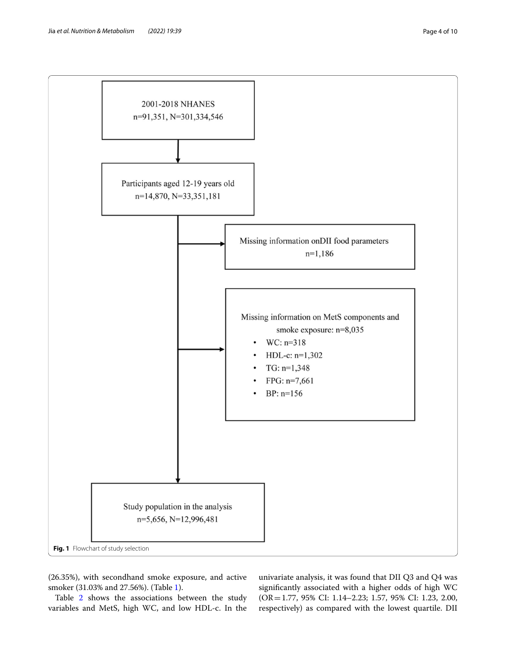

<span id="page-3-0"></span>(26.35%), with secondhand smoke exposure, and active smoker (31.03% and 27.56%). (Table [1](#page-4-0)).

Table [2](#page-5-0) shows the associations between the study variables and MetS, high WC, and low HDL-c. In the

univariate analysis, it was found that DII Q3 and Q4 was signifcantly associated with a higher odds of high WC (OR=1.77, 95% CI: 1.14–2.23; 1.57, 95% CI: 1.23, 2.00, respectively) as compared with the lowest quartile. DII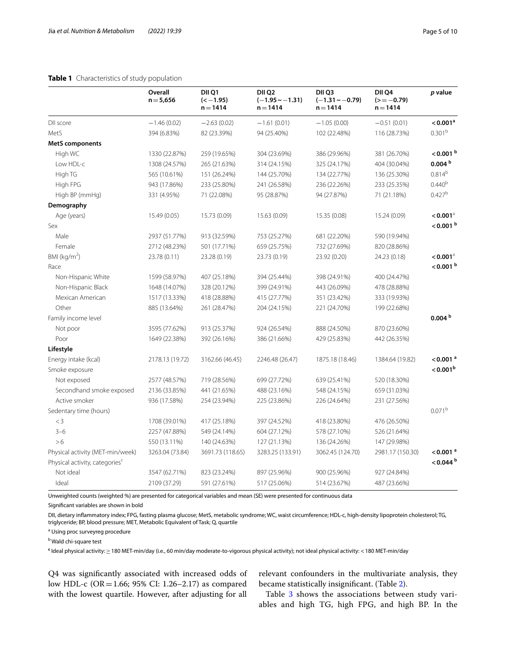#### <span id="page-4-0"></span>**Table 1** Characteristics of study population

|                                            | Overall<br>$n = 5,656$ | DII Q1<br>$(-1.95)$<br>$n = 1414$ | DII Q2<br>$(-1.95 \sim -1.31)$<br>$n = 1414$ | DII <sub>Q3</sub><br>$(-1.31 \sim -0.79)$<br>$n = 1414$ | DII <sub>Q4</sub><br>$(>=-0.79)$<br>$n = 1414$ | p value                |
|--------------------------------------------|------------------------|-----------------------------------|----------------------------------------------|---------------------------------------------------------|------------------------------------------------|------------------------|
| DII score                                  | $-1.46(0.02)$          | $-2.63(0.02)$                     | $-1.61(0.01)$                                | $-1.05(0.00)$                                           | $-0.51(0.01)$                                  | < 0.001 <sup>a</sup>   |
| MetS                                       | 394 (6.83%)            | 82 (23.39%)                       | 94 (25.40%)                                  | 102 (22.48%)                                            | 116 (28.73%)                                   | 0.301 <sup>b</sup>     |
| <b>MetS</b> components                     |                        |                                   |                                              |                                                         |                                                |                        |
| High WC                                    | 1330 (22.87%)          | 259 (19.65%)                      | 304 (23.69%)                                 | 386 (29.96%)                                            | 381 (26.70%)                                   | $<$ 0.001 $b$          |
| Low HDL-c                                  | 1308 (24.57%)          | 265 (21.63%)                      | 314 (24.15%)                                 | 325 (24.17%)                                            | 404 (30.04%)                                   | 0.004 <sup>b</sup>     |
| High TG                                    | 565 (10.61%)           | 151 (26.24%)                      | 144 (25.70%)                                 | 134 (22.77%)                                            | 136 (25.30%)                                   | $0.814^{b}$            |
| High FPG                                   | 943 (17.86%)           | 233 (25.80%)                      | 241 (26.58%)                                 | 236 (22.26%)                                            | 233 (25.35%)                                   | 0.440 <sup>b</sup>     |
| High BP (mmHg)                             | 331 (4.95%)            | 71 (22.08%)                       | 95 (28.87%)                                  | 94 (27.87%)                                             | 71 (21.18%)                                    | 0.427 <sup>b</sup>     |
| Demography                                 |                        |                                   |                                              |                                                         |                                                |                        |
| Age (years)                                | 15.49 (0.05)           | 15.73 (0.09)                      | 15.63 (0.09)                                 | 15.35 (0.08)                                            | 15.24 (0.09)                                   | $< 0.001$ <sup>a</sup> |
| Sex                                        |                        |                                   |                                              |                                                         |                                                | $<$ 0.001 $b$          |
| Male                                       | 2937 (51.77%)          | 913 (32.59%)                      | 753 (25.27%)                                 | 681 (22.20%)                                            | 590 (19.94%)                                   |                        |
| Female                                     | 2712 (48.23%)          | 501 (17.71%)                      | 659 (25.75%)                                 | 732 (27.69%)                                            | 820 (28.86%)                                   |                        |
| $BMl$ (kg/m <sup>2</sup> )                 | 23.78 (0.11)           | 23.28 (0.19)                      | 23.73 (0.19)                                 | 23.92 (0.20)                                            | 24.23 (0.18)                                   | $< 0.001$ <sup>a</sup> |
| Race                                       |                        |                                   |                                              |                                                         |                                                | $<$ 0.001 $b$          |
| Non-Hispanic White                         | 1599 (58.97%)          | 407 (25.18%)                      | 394 (25.44%)                                 | 398 (24.91%)                                            | 400 (24.47%)                                   |                        |
| Non-Hispanic Black                         | 1648 (14.07%)          | 328 (20.12%)                      | 399 (24.91%)                                 | 443 (26.09%)                                            | 478 (28.88%)                                   |                        |
| Mexican American                           | 1517 (13.33%)          | 418 (28.88%)                      | 415 (27.77%)                                 | 351 (23.42%)                                            | 333 (19.93%)                                   |                        |
| Other                                      | 885 (13.64%)           | 261 (28.47%)                      | 204 (24.15%)                                 | 221 (24.70%)                                            | 199 (22.68%)                                   |                        |
| Family income level                        |                        |                                   |                                              |                                                         |                                                | 0.004 <sup>b</sup>     |
| Not poor                                   | 3595 (77.62%)          | 913 (25.37%)                      | 924 (26.54%)                                 | 888 (24.50%)                                            | 870 (23.60%)                                   |                        |
| Poor                                       | 1649 (22.38%)          | 392 (26.16%)                      | 386 (21.66%)                                 | 429 (25.83%)                                            | 442 (26.35%)                                   |                        |
| Lifestyle                                  |                        |                                   |                                              |                                                         |                                                |                        |
| Energy intake (kcal)                       | 2178.13 (19.72)        | 3162.66 (46.45)                   | 2246.48 (26.47)                              | 1875.18 (18.46)                                         | 1384.64 (19.82)                                | $<$ 0.001 $^{\circ}$   |
| Smoke exposure                             |                        |                                   |                                              |                                                         |                                                | $< 0.001^{\rm b}$      |
| Not exposed                                | 2577 (48.57%)          | 719 (28.56%)                      | 699 (27.72%)                                 | 639 (25.41%)                                            | 520 (18.30%)                                   |                        |
| Secondhand smoke exposed                   | 2136 (33.85%)          | 441 (21.65%)                      | 488 (23.16%)                                 | 548 (24.15%)                                            | 659 (31.03%)                                   |                        |
| Active smoker                              | 936 (17.58%)           | 254 (23.94%)                      | 225 (23.86%)                                 | 226 (24.64%)                                            | 231 (27.56%)                                   |                        |
| Sedentary time (hours)                     |                        |                                   |                                              |                                                         |                                                | $0.071^{b}$            |
| $<$ 3                                      | 1708 (39.01%)          | 417 (25.18%)                      | 397 (24.52%)                                 | 418 (23.80%)                                            | 476 (26.50%)                                   |                        |
| $3 - 6$                                    | 2257 (47.88%)          | 549 (24.14%)                      | 604 (27.12%)                                 | 578 (27.10%)                                            | 526 (21.64%)                                   |                        |
| >6                                         | 550 (13.11%)           | 140 (24.63%)                      | 127 (21.13%)                                 | 136 (24.26%)                                            | 147 (29.98%)                                   |                        |
| Physical activity (MET-min/week)           | 3263.04 (73.84)        | 3691.73 (118.65)                  | 3283.25 (133.91)                             | 3062.45 (124.70)                                        | 2981.17 (150.30)                               | $<$ 0.001 $a$          |
| Physical activity, categories <sup>c</sup> |                        |                                   |                                              |                                                         |                                                | $<$ 0.044 $b$          |
| Not ideal                                  | 3547 (62.71%)          | 823 (23.24%)                      | 897 (25.96%)                                 | 900 (25.96%)                                            | 927 (24.84%)                                   |                        |
| Ideal                                      | 2109 (37.29)           | 591 (27.61%)                      | 517 (25.06%)                                 | 514 (23.67%)                                            | 487 (23.66%)                                   |                        |

Unweighted counts (weighted %) are presented for categorical variables and mean (SE) were presented for continuous data

Signifcant variables are shown in bold

DII, dietary infammatory index; FPG, fasting plasma glucose; MetS, metabolic syndrome; WC, waist circumference; HDL-c, high-density lipoprotein cholesterol; TG, triglyceride; BP, blood pressure; MET, Metabolic Equivalent of Task; Q, quartile

<sup>a</sup> Using proc surveyreg procedure

<sup>b</sup> Wald chi-square test

**c** Ideal physical activity:≥180 MET-min/day (i.e., 60 min/day moderate-to-vigorous physical activity); not ideal physical activity: <180 MET-min/day

Q4 was signifcantly associated with increased odds of low HDL-c (OR=1.66; 95% CI: 1.26–2.17) as compared with the lowest quartile. However, after adjusting for all

relevant confounders in the multivariate analysis, they became statistically insignifcant. (Table [2](#page-5-0)).

Table [3](#page-6-0) shows the associations between study variables and high TG, high FPG, and high BP. In the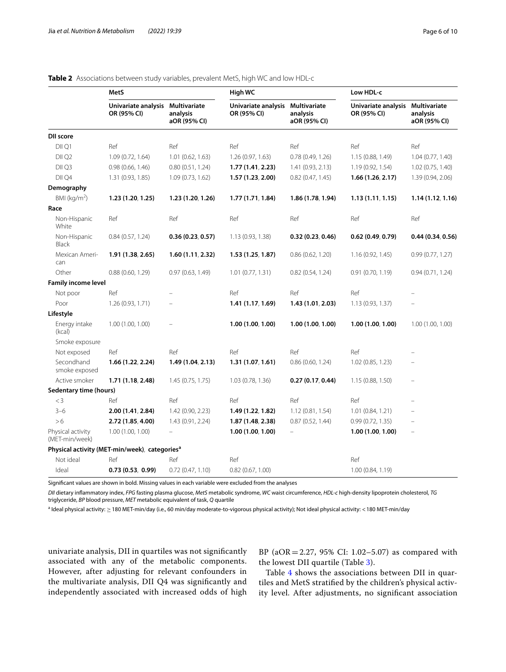|                                     | MetS                                                      |                          | High WC                                         |                          | Low HDL-c                          |                                          |
|-------------------------------------|-----------------------------------------------------------|--------------------------|-------------------------------------------------|--------------------------|------------------------------------|------------------------------------------|
|                                     | Univariate analysis Multivariate<br>OR (95% CI)           | analysis<br>aOR (95% CI) | Univariate analysis Multivariate<br>OR (95% CI) | analysis<br>aOR (95% CI) | Univariate analysis<br>OR (95% CI) | Multivariate<br>analysis<br>aOR (95% CI) |
| <b>DII score</b>                    |                                                           |                          |                                                 |                          |                                    |                                          |
| DII Q1                              | Ref                                                       | Ref                      | Ref                                             | Ref                      | Ref                                | Ref                                      |
| DII Q2                              | 1.09 (0.72, 1.64)                                         | 1.01(0.62, 1.63)         | 1.26 (0.97, 1.63)                               | 0.78(0.49, 1.26)         | 1.15 (0.88, 1.49)                  | 1.04 (0.77, 1.40)                        |
| DII <sub>Q3</sub>                   | 0.98(0.66, 1.46)                                          | 0.80(0.51, 1.24)         | 1.77(1.41, 2.23)                                | 1.41(0.93, 2.13)         | 1.19(0.92, 1.54)                   | 1.02(0.75, 1.40)                         |
| DII Q4                              | 1.31 (0.93, 1.85)                                         | 1.09 (0.73, 1.62)        | 1.57(1.23, 2.00)                                | 0.82(0.47, 1.45)         | 1.66(1.26, 2.17)                   | 1.39 (0.94, 2.06)                        |
| Demography                          |                                                           |                          |                                                 |                          |                                    |                                          |
| BMI ( $kg/m2$ )                     | 1.23(1.20, 1.25)                                          | 1.23(1.20, 1.26)         | 1.77(1.71, 1.84)                                | 1.86 (1.78, 1.94)        | 1.13(1.11, 1.15)                   | 1.14(1.12, 1.16)                         |
| Race                                |                                                           |                          |                                                 |                          |                                    |                                          |
| Non-Hispanic<br>White               | Ref                                                       | Ref                      | Ref                                             | Ref                      | Ref                                | Ref                                      |
| Non-Hispanic<br>Black               | 0.84(0.57, 1.24)                                          | 0.36(0.23, 0.57)         | 1.13 (0.93, 1.38)                               | 0.32(0.23, 0.46)         | 0.62(0.49, 0.79)                   | 0.44(0.34, 0.56)                         |
| Mexican Ameri-<br>can               | 1.91(1.38, 2.65)                                          | 1.60(1.11, 2.32)         | 1.53(1.25, 1.87)                                | 0.86(0.62, 1.20)         | 1.16(0.92, 1.45)                   | 0.99(0.77, 1.27)                         |
| Other                               | 0.88(0.60, 1.29)                                          | 0.97 (0.63, 1.49)        | $1.01$ (0.77, 1.31)                             | 0.82(0.54, 1.24)         | 0.91 (0.70, 1.19)                  | 0.94(0.71, 1.24)                         |
| <b>Family income level</b>          |                                                           |                          |                                                 |                          |                                    |                                          |
| Not poor                            | Ref                                                       |                          | Ref                                             | Ref                      | Ref                                |                                          |
| Poor                                | 1.26 (0.93, 1.71)                                         | ÷,                       | 1.41(1.17, 1.69)                                | 1.43 (1.01, 2.03)        | 1.13(0.93, 1.37)                   | ÷                                        |
| Lifestyle                           |                                                           |                          |                                                 |                          |                                    |                                          |
| Energy intake<br>(kcal)             | 1.00 (1.00, 1.00)                                         |                          | 1.00(1.00, 1.00)                                | 1.00(1.00, 1.00)         | 1.00(1.00, 1.00)                   | 1.00 (1.00, 1.00)                        |
| Smoke exposure                      |                                                           |                          |                                                 |                          |                                    |                                          |
| Not exposed                         | Ref                                                       | Ref                      | Ref                                             | Ref                      | Ref                                |                                          |
| Secondhand<br>smoke exposed         | 1.66(1.22, 2.24)                                          | 1.49(1.04, 2.13)         | 1.31(1.07, 1.61)                                | 0.86(0.60, 1.24)         | 1.02 (0.85, 1.23)                  |                                          |
| Active smoker                       | 1.71(1.18, 2.48)                                          | 1.45(0.75, 1.75)         | 1.03 (0.78, 1.36)                               | 0.27(0.17, 0.44)         | 1.15 (0.88, 1.50)                  |                                          |
| Sedentary time (hours)              |                                                           |                          |                                                 |                          |                                    |                                          |
| $<$ 3                               | Ref                                                       | Ref                      | Ref                                             | Ref                      | Ref                                | $\overline{\phantom{0}}$                 |
| $3 - 6$                             | 2.00(1.41, 2.84)                                          | 1.42 (0.90, 2.23)        | 1.49 (1.22, 1.82)                               | 1.12(0.81, 1.54)         | 1.01(0.84, 1.21)                   |                                          |
| >6                                  | 2.72 (1.85, 4.00)                                         | 1.43 (0.91, 2.24)        | 1.87 (1.48, 2.38)                               | 0.87(0.52, 1.44)         | 0.99(0.72, 1.35)                   |                                          |
| Physical activity<br>(MET-min/week) | 1.00 (1.00, 1.00)                                         |                          | 1.00(1.00, 1.00)                                | $\equiv$                 | 1.00(1.00, 1.00)                   | $\overline{a}$                           |
|                                     | Physical activity (MET-min/week), categories <sup>a</sup> |                          |                                                 |                          |                                    |                                          |
| Not ideal                           | Ref                                                       | Ref                      | Ref                                             |                          | Ref                                |                                          |
| Ideal                               | 0.73(0.53, 0.99)                                          | 0.72(0.47, 1.10)         | 0.82(0.67, 1.00)                                |                          | 1.00 (0.84, 1.19)                  |                                          |

#### <span id="page-5-0"></span>**Table 2** Associations between study variables, prevalent MetS, high WC and low HDL-c

Signifcant values are shown in bold. Missing values in each variable were excluded from the analyses

*DII* dietary infammatory index, *FPG* fasting plasma glucose, *MetS* metabolic syndrome, *WC* waist circumference, *HDL-c* high-density lipoprotein cholesterol, *TG* triglyceride, *BP* blood pressure, *MET* metabolic equivalent of task, *Q* quartile

<sup>a</sup> Ideal physical activity: ≥ 180 MET-min/day (i.e., 60 min/day moderate-to-vigorous physical activity); Not ideal physical activity: < 180 MET-min/day

univariate analysis, DII in quartiles was not signifcantly associated with any of the metabolic components. However, after adjusting for relevant confounders in the multivariate analysis, DII Q4 was signifcantly and independently associated with increased odds of high BP ( $aOR = 2.27$ , 95% CI: 1.02–5.07) as compared with the lowest DII quartile (Table [3](#page-6-0)).

Table [4](#page-7-0) shows the associations between DII in quartiles and MetS stratifed by the children's physical activity level. After adjustments, no signifcant association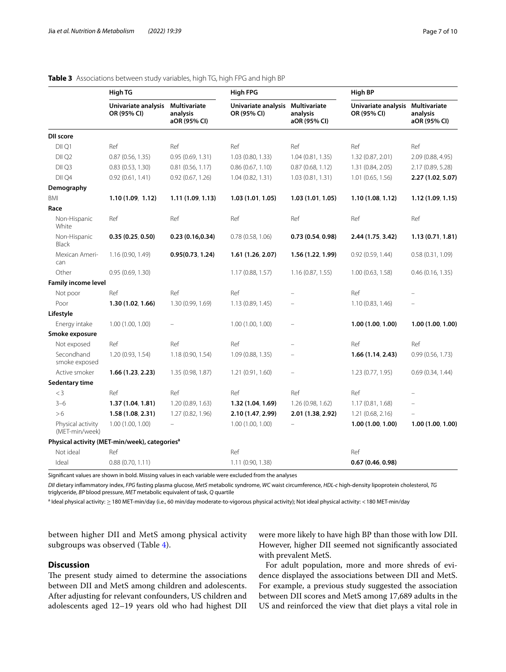|                                     | <b>High TG</b>                                            |                                          | <b>High FPG</b>                                 |                          | <b>High BP</b>                     |                                                 |
|-------------------------------------|-----------------------------------------------------------|------------------------------------------|-------------------------------------------------|--------------------------|------------------------------------|-------------------------------------------------|
|                                     | Univariate analysis<br>OR (95% CI)                        | Multivariate<br>analysis<br>aOR (95% CI) | Univariate analysis Multivariate<br>OR (95% CI) | analysis<br>aOR (95% CI) | Univariate analysis<br>OR (95% CI) | <b>Multivariate</b><br>analysis<br>aOR (95% CI) |
| <b>DII score</b>                    |                                                           |                                          |                                                 |                          |                                    |                                                 |
| DII Q1                              | Ref                                                       | Ref                                      | Ref                                             | Ref                      | Ref                                | Ref                                             |
| DII Q2                              | 0.87(0.56, 1.35)                                          | 0.95(0.69, 1.31)                         | 1.03 (0.80, 1.33)                               | 1.04(0.81, 1.35)         | 1.32 (0.87, 2.01)                  | 2.09 (0.88, 4.95)                               |
| DII <sub>Q3</sub>                   | 0.83(0.53, 1.30)                                          | 0.81(0.56, 1.17)                         | 0.86(0.67, 1.10)                                | 0.87(0.68, 1.12)         | 1.31 (0.84, 2.05)                  | 2.17 (0.89, 5.28)                               |
| DII Q4                              | 0.92(0.61, 1.41)                                          | 0.92(0.67, 1.26)                         | 1.04(0.82, 1.31)                                | 1.03 (0.81, 1.31)        | 1.01 (0.65, 1.56)                  | 2.27 (1.02, 5.07)                               |
| Demography                          |                                                           |                                          |                                                 |                          |                                    |                                                 |
| BMI                                 | 1.10(1.09, 1.12)                                          | 1.11 (1.09, 1.13)                        | 1.03(1.01, 1.05)                                | 1.03(1.01, 1.05)         | 1.10(1.08, 1.12)                   | 1.12(1.09, 1.15)                                |
| Race                                |                                                           |                                          |                                                 |                          |                                    |                                                 |
| Non-Hispanic<br>White               | Ref                                                       | Ref                                      | Ref                                             | Ref                      | Ref                                | Ref                                             |
| Non-Hispanic<br><b>Black</b>        | 0.35(0.25, 0.50)                                          | 0.23(0.16, 0.34)                         | 0.78(0.58, 1.06)                                | 0.73(0.54, 0.98)         | 2.44 (1.75, 3.42)                  | 1.13(0.71, 1.81)                                |
| Mexican Ameri-<br>can               | 1.16 (0.90, 1.49)                                         | 0.95(0.73, 1.24)                         | 1.61(1.26, 2.07)                                | 1.56 (1.22, 1.99)        | 0.92(0.59, 1.44)                   | 0.58(0.31, 1.09)                                |
| Other                               | 0.95(0.69, 1.30)                                          |                                          | 1.17 (0.88, 1.57)                               | 1.16 (0.87, 1.55)        | 1.00(0.63, 1.58)                   | 0.46(0.16, 1.35)                                |
| <b>Family income level</b>          |                                                           |                                          |                                                 |                          |                                    |                                                 |
| Not poor                            | Ref                                                       | Ref                                      | Ref                                             |                          | Ref                                |                                                 |
| Poor                                | 1.30(1.02, 1.66)                                          | 1.30 (0.99, 1.69)                        | 1.13(0.89, 1.45)                                |                          | 1.10(0.83, 1.46)                   |                                                 |
| Lifestyle                           |                                                           |                                          |                                                 |                          |                                    |                                                 |
| Energy intake                       | 1.00(1.00, 1.00)                                          |                                          | 1.00(1.00, 1.00)                                |                          | 1.00(1.00, 1.00)                   | 1.00(1.00, 1.00)                                |
| Smoke exposure                      |                                                           |                                          |                                                 |                          |                                    |                                                 |
| Not exposed                         | Ref                                                       | Ref                                      | Ref                                             | ÷                        | Ref                                | Ref                                             |
| Secondhand<br>smoke exposed         | 1.20 (0.93, 1.54)                                         | 1.18 (0.90, 1.54)                        | 1.09 (0.88, 1.35)                               |                          | 1.66(1.14, 2.43)                   | 0.99(0.56, 1.73)                                |
| Active smoker                       | 1.66(1.23, 2.23)                                          | 1.35 (0.98, 1.87)                        | 1.21 (0.91, 1.60)                               |                          | 1.23(0.77, 1.95)                   | 0.69(0.34, 1.44)                                |
| Sedentary time                      |                                                           |                                          |                                                 |                          |                                    |                                                 |
| $<$ 3                               | Ref                                                       | Ref                                      | Ref                                             | Ref                      | Ref                                |                                                 |
| $3 - 6$                             | 1.37(1.04, 1.81)                                          | 1.20 (0.89, 1.63)                        | 1.32 (1.04, 1.69)                               | 1.26 (0.98, 1.62)        | 1.17(0.81, 1.68)                   |                                                 |
| >6                                  | 1.58(1.08, 2.31)                                          | 1.27 (0.82, 1.96)                        | 2.10 (1.47, 2.99)                               | 2.01 (1.38, 2.92)        | 1.21 (0.68, 2.16)                  |                                                 |
| Physical activity<br>(MET-min/week) | 1.00 (1.00, 1.00)                                         |                                          | 1.00(1.00, 1.00)                                |                          | 1.00(1.00, 1.00)                   | 1.00(1.00, 1.00)                                |
|                                     | Physical activity (MET-min/week), categories <sup>a</sup> |                                          |                                                 |                          |                                    |                                                 |
| Not ideal                           | Ref                                                       |                                          | Ref                                             |                          | Ref                                |                                                 |
| Ideal                               | 0.88(0.70, 1.11)                                          |                                          | 1.11 (0.90, 1.38)                               |                          | 0.67(0.46, 0.98)                   |                                                 |

#### <span id="page-6-0"></span>**Table 3** Associations between study variables, high TG, high FPG and high BP

Signifcant values are shown in bold. Missing values in each variable were excluded from the analyses

*DII* dietary infammatory index, *FPG* fasting plasma glucose, *MetS* metabolic syndrome, *WC* waist circumference, *HDL-c* high-density lipoprotein cholesterol, *TG* triglyceride, *BP* blood pressure, *MET* metabolic equivalent of task, *Q* quartile

<sup>a</sup> Ideal physical activity: ≥ 180 MET-min/day (i.e., 60 min/day moderate-to-vigorous physical activity); Not ideal physical activity: < 180 MET-min/day

between higher DII and MetS among physical activity subgroups was observed (Table [4\)](#page-7-0).

#### **Discussion**

The present study aimed to determine the associations between DII and MetS among children and adolescents. After adjusting for relevant confounders, US children and adolescents aged 12–19 years old who had highest DII were more likely to have high BP than those with low DII. However, higher DII seemed not signifcantly associated with prevalent MetS.

For adult population, more and more shreds of evidence displayed the associations between DII and MetS. For example, a previous study suggested the association between DII scores and MetS among 17,689 adults in the US and reinforced the view that diet plays a vital role in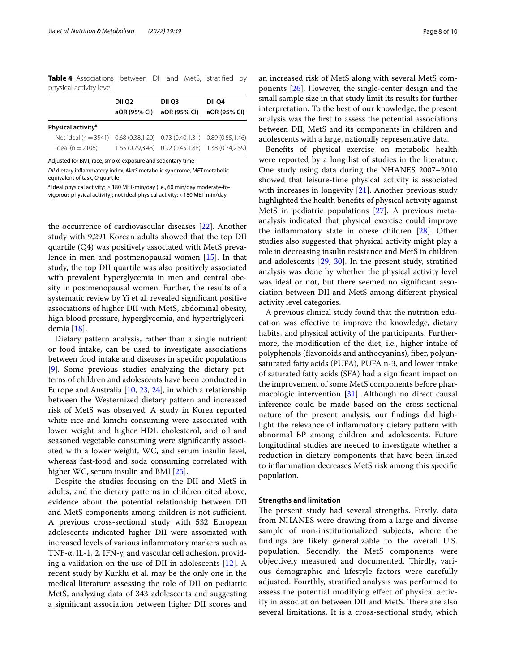<span id="page-7-0"></span>**Table 4** Associations between DII and MetS, stratifed by physical activity level

|                                | DII 02<br>aOR (95% CI) | DII 03<br>aOR (95% CI)                                | DII 04<br>aOR (95% CI) |
|--------------------------------|------------------------|-------------------------------------------------------|------------------------|
| Physical activity <sup>a</sup> |                        |                                                       |                        |
| Not ideal $(n = 3541)$         |                        | $0.68(0.38,1.20)$ $0.73(0.40,1.31)$ $0.89(0.55,1.46)$ |                        |
| Ideal ( $n = 2106$ )           |                        | 1.65 (0.79,3.43) 0.92 (0.45,1.88) 1.38 (0.74,2.59)    |                        |

Adjusted for BMI, race, smoke exposure and sedentary time

*DII* dietary infammatory index, *MetS* metabolic syndrome, *MET* metabolic equivalent of task, *Q* quartile

a Ideal physical activity:  $\geq$  180 MET-min/day (i.e., 60 min/day moderate-tovigorous physical activity); not ideal physical activity:<180 MET-min/day

the occurrence of cardiovascular diseases [\[22](#page-9-5)]. Another study with 9,291 Korean adults showed that the top DII quartile (Q4) was positively associated with MetS prevalence in men and postmenopausal women [[15](#page-8-13)]. In that study, the top DII quartile was also positively associated with prevalent hyperglycemia in men and central obesity in postmenopausal women. Further, the results of a systematic review by Yi et al. revealed signifcant positive associations of higher DII with MetS, abdominal obesity, high blood pressure, hyperglycemia, and hypertriglyceridemia [\[18](#page-9-0)].

Dietary pattern analysis, rather than a single nutrient or food intake, can be used to investigate associations between food intake and diseases in specifc populations [[9\]](#page-8-15). Some previous studies analyzing the dietary patterns of children and adolescents have been conducted in Europe and Australia [\[10](#page-8-8), [23,](#page-9-4) [24\]](#page-9-6), in which a relationship between the Westernized dietary pattern and increased risk of MetS was observed. A study in Korea reported white rice and kimchi consuming were associated with lower weight and higher HDL cholesterol, and oil and seasoned vegetable consuming were signifcantly associated with a lower weight, WC, and serum insulin level, whereas fast-food and soda consuming correlated with higher WC, serum insulin and BMI [\[25](#page-9-7)].

Despite the studies focusing on the DII and MetS in adults, and the dietary patterns in children cited above, evidence about the potential relationship between DII and MetS components among children is not sufficient. A previous cross-sectional study with 532 European adolescents indicated higher DII were associated with increased levels of various infammatory markers such as TNF-α, IL-1, 2, IFN-γ, and vascular cell adhesion, providing a validation on the use of DII in adolescents [\[12\]](#page-8-10). A recent study by Kurklu et al. may be the only one in the medical literature assessing the role of DII on pediatric MetS, analyzing data of 343 adolescents and suggesting a signifcant association between higher DII scores and

an increased risk of MetS along with several MetS components [\[26](#page-9-8)]. However, the single-center design and the small sample size in that study limit its results for further interpretation. To the best of our knowledge, the present analysis was the frst to assess the potential associations between DII, MetS and its components in children and adolescents with a large, nationally representative data.

Benefts of physical exercise on metabolic health were reported by a long list of studies in the literature. One study using data during the NHANES 2007–2010 showed that leisure-time physical activity is associated with increases in longevity [\[21\]](#page-9-3). Another previous study highlighted the health benefts of physical activity against MetS in pediatric populations [\[27](#page-9-9)]. A previous metaanalysis indicated that physical exercise could improve the infammatory state in obese children [\[28](#page-9-10)]. Other studies also suggested that physical activity might play a role in decreasing insulin resistance and MetS in children and adolescents [\[29](#page-9-11), [30\]](#page-9-12). In the present study, stratifed analysis was done by whether the physical activity level was ideal or not, but there seemed no signifcant association between DII and MetS among diferent physical activity level categories.

A previous clinical study found that the nutrition education was efective to improve the knowledge, dietary habits, and physical activity of the participants. Furthermore, the modifcation of the diet, i.e., higher intake of polyphenols (favonoids and anthocyanins), fber, polyunsaturated fatty acids (PUFA), PUFA n-3, and lower intake of saturated fatty acids (SFA) had a signifcant impact on the improvement of some MetS components before pharmacologic intervention [[31](#page-9-13)]. Although no direct causal inference could be made based on the cross-sectional nature of the present analysis, our fndings did highlight the relevance of infammatory dietary pattern with abnormal BP among children and adolescents. Future longitudinal studies are needed to investigate whether a reduction in dietary components that have been linked to infammation decreases MetS risk among this specifc population.

#### **Strengths and limitation**

The present study had several strengths. Firstly, data from NHANES were drawing from a large and diverse sample of non-institutionalized subjects, where the fndings are likely generalizable to the overall U.S. population. Secondly, the MetS components were objectively measured and documented. Thirdly, various demographic and lifestyle factors were carefully adjusted. Fourthly, stratifed analysis was performed to assess the potential modifying efect of physical activity in association between DII and MetS. There are also several limitations. It is a cross-sectional study, which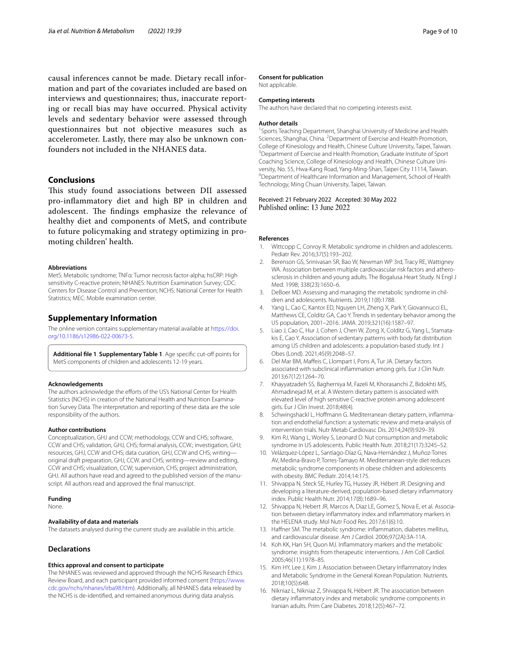causal inferences cannot be made. Dietary recall information and part of the covariates included are based on interviews and questionnaires; thus, inaccurate reporting or recall bias may have occurred. Physical activity levels and sedentary behavior were assessed through questionnaires but not objective measures such as accelerometer. Lastly, there may also be unknown confounders not included in the NHANES data.

### **Conclusions**

This study found associations between DII assessed pro-infammatory diet and high BP in children and adolescent. The findings emphasize the relevance of healthy diet and components of MetS, and contribute to future policymaking and strategy optimizing in promoting children' health.

#### **Abbreviations**

MetS: Metabolic syndrome; TNFα: Tumor necrosis factor-alpha; hsCRP: High sensitivity C-reactive protein; NHANES: Nutrition Examination Survey; CDC: Centers for Disease Control and Prevention; NCHS: National Center for Health Statistics; MEC: Mobile examination center.

#### **Supplementary Information**

The online version contains supplementary material available at [https://doi.](https://doi.org/10.1186/s12986-022-00673-5) [org/10.1186/s12986-022-00673-5](https://doi.org/10.1186/s12986-022-00673-5).

<span id="page-8-14"></span>**Additional fle 1**. **Supplementary Table 1**. Age specifc cut-of points for MetS components of children and adolescents 12-19 years.

#### **Acknowledgements**

The authors acknowledge the efforts of the US's National Center for Health Statistics (NCHS) in creation of the National Health and Nutrition Examination Survey Data. The interpretation and reporting of these data are the sole responsibility of the authors.

#### **Author contributions**

Conceptualization, GHJ and CCW; methodology, CCW and CHS; software, CCW and CHS; validation, GHJ, CHS; formal analysis, CCW.; investigation, GHJ; resources, GHJ, CCW and CHS; data curation, GHJ, CCW and CHS; writing original draft preparation, GHJ, CCW. and CHS; writing—review and editing, CCW and CHS; visualization, CCW; supervision, CHS; project administration, GHJ. All authors have read and agreed to the published version of the manuscript. All authors read and approved the fnal manuscript.

#### **Funding**

None.

#### **Availability of data and materials**

The datasets analysed during the current study are available in this article.

#### **Declarations**

#### **Ethics approval and consent to participate**

The NHANES was reviewed and approved through the NCHS Research Ethics Review Board, and each participant provided informed consent [\(https://www.](https://www.cdc.gov/nchs/nhanes/irba98.htm) [cdc.gov/nchs/nhanes/irba98.htm\)](https://www.cdc.gov/nchs/nhanes/irba98.htm). Additionally, all NHANES data released by the NCHS is de-identifed, and remained anonymous during data analysis.

#### **Consent for publication**

Not applicable.

#### **Competing interests**

The authors have declared that no competing interests exist.

#### **Author details**

<sup>1</sup> Sports Teaching Department, Shanghai University of Medicine and Health Sciences, Shanghai, China. <sup>2</sup> Department of Exercise and Health Promotion, College of Kinesiology and Health, Chinese Culture University, Taipei, Taiwan. 3 <sup>3</sup> Department of Exercise and Health Promotion, Graduate Institute of Sport Coaching Science, College of Kinesiology and Health, Chinese Culture University, No. 55, Hwa-Kang Road, Yang-Ming-Shan, Taipei City 11114, Taiwan. <sup>4</sup>Department of Healthcare Information and Management, School of Health Technology, Ming Chuan University, Taipei, Taiwan.

Received: 21 February 2022 Accepted: 30 May 2022 Published online: 13 June 2022

#### **References**

- <span id="page-8-0"></span>Wittcopp C, Conroy R. Metabolic syndrome in children and adolescents. Pediatr Rev. 2016;37(5):193–202.
- <span id="page-8-1"></span>2. Berenson GS, Srinivasan SR, Bao W, Newman WP 3rd, Tracy RE, Wattigney WA. Association between multiple cardiovascular risk factors and atherosclerosis in children and young adults. The Bogalusa Heart Study. N Engl J Med. 1998; 338(23):1650–6.
- <span id="page-8-2"></span>3. DeBoer MD. Assessing and managing the metabolic syndrome in children and adolescents. Nutrients. 2019;11(8):1788.
- <span id="page-8-3"></span>4. Yang L, Cao C, Kantor ED, Nguyen LH, Zheng X, Park Y, Giovannucci EL, Matthews CE, Colditz GA, Cao Y. Trends in sedentary behavior among the US population, 2001–2016. JAMA. 2019;321(16):1587–97.
- <span id="page-8-4"></span>5. Liao J, Cao C, Hur J, Cohen J, Chen W, Zong X, Colditz G, Yang L, Stamatakis E, Cao Y. Association of sedentary patterns with body fat distribution among US children and adolescents: a population-based study. Int J Obes (Lond). 2021;45(9):2048–57.
- <span id="page-8-5"></span>6. Del Mar BM, Mafeis C, Llompart I, Pons A, Tur JA. Dietary factors associated with subclinical infammation among girls. Eur J Clin Nutr. 2013;67(12):1264–70.
- <span id="page-8-6"></span>7. Khayyatzadeh SS, Bagherniya M, Fazeli M, Khorasanchi Z, Bidokhti MS, Ahmadinejad M, et al. A Western dietary pattern is associated with elevated level of high sensitive C-reactive protein among adolescent girls. Eur J Clin Invest. 2018;48(4).
- <span id="page-8-7"></span>8. Schwingshackl L, Hoffmann G. Mediterranean dietary pattern, inflammation and endothelial function: a systematic review and meta-analysis of intervention trials. Nutr Metab Cardiovasc Dis. 2014;24(9):929–39.
- <span id="page-8-15"></span>9. Kim RJ, Wang L, Worley S, Leonard D. Nut consumption and metabolic syndrome in US adolescents. Public Health Nutr. 2018;21(17):3245–52.
- <span id="page-8-8"></span>10. Velázquez-López L, Santiago-Díaz G, Nava-Hernández J, Muñoz-Torres AV, Medina-Bravo P, Torres-Tamayo M. Mediterranean-style diet reduces metabolic syndrome components in obese children and adolescents with obesity. BMC Pediatr. 2014;14:175.
- <span id="page-8-9"></span>11. Shivappa N, Steck SE, Hurley TG, Hussey JR, Hébert JR. Designing and developing a literature-derived, population-based dietary infammatory index. Public Health Nutr. 2014;17(8):1689–96.
- <span id="page-8-10"></span>12. Shivappa N, Hebert JR, Marcos A, Diaz LE, Gomez S, Nova E, et al. Association between dietary infammatory index and infammatory markers in the HELENA study. Mol Nutr Food Res. 2017;61(6):10.
- <span id="page-8-11"></span>13. Hafner SM. The metabolic syndrome: infammation, diabetes mellitus, and cardiovascular disease. Am J Cardiol. 2006;97(2A):3A-11A.
- <span id="page-8-12"></span>14. Koh KK, Han SH, Quon MJ. Infammatory markers and the metabolic syndrome: insights from therapeutic interventions. J Am Coll Cardiol. 2005;46(11):1978–85.
- <span id="page-8-13"></span>15. Kim HY, Lee J, Kim J. Association between Dietary Infammatory Index and Metabolic Syndrome in the General Korean Population. Nutrients. 2018;10(5):648.
- 16. Nikniaz L, Nikniaz Z, Shivappa N, Hébert JR. The association between dietary infammatory index and metabolic syndrome components in Iranian adults. Prim Care Diabetes. 2018;12(5):467–72.